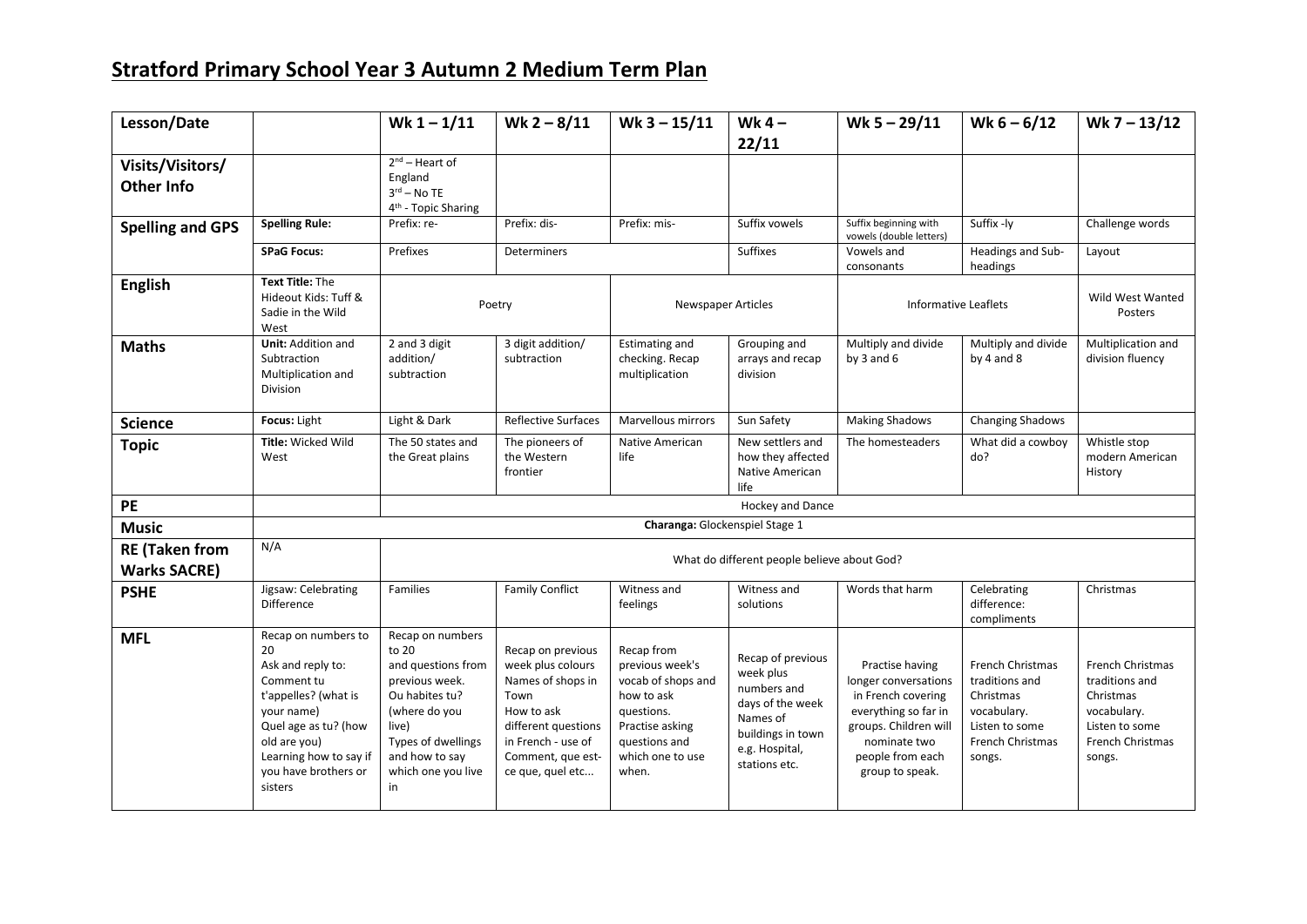## **Stratford Primary School Year 3 Autumn 2 Medium Term Plan**

| Lesson/Date                                  |                                                                                                                                                                                                         | Wk $1 - 1/11$                                                                                                                                                                     | Wk $2 - 8/11$                                                                                                                                                           | Wk $3 - 15/11$                                                                                                                                   | Wk $4-$<br>22/11                                                                                                                      | Wk $5 - 29/11$                                                                                                                                                        | Wk $6 - 6/12$                                                                                                         | Wk 7 - 13/12                                                                                                   |
|----------------------------------------------|---------------------------------------------------------------------------------------------------------------------------------------------------------------------------------------------------------|-----------------------------------------------------------------------------------------------------------------------------------------------------------------------------------|-------------------------------------------------------------------------------------------------------------------------------------------------------------------------|--------------------------------------------------------------------------------------------------------------------------------------------------|---------------------------------------------------------------------------------------------------------------------------------------|-----------------------------------------------------------------------------------------------------------------------------------------------------------------------|-----------------------------------------------------------------------------------------------------------------------|----------------------------------------------------------------------------------------------------------------|
| Visits/Visitors/<br><b>Other Info</b>        |                                                                                                                                                                                                         | $2^{nd}$ – Heart of<br>England<br>$3rd$ – No TE<br>4 <sup>th</sup> - Topic Sharing                                                                                                |                                                                                                                                                                         |                                                                                                                                                  |                                                                                                                                       |                                                                                                                                                                       |                                                                                                                       |                                                                                                                |
| <b>Spelling and GPS</b>                      | <b>Spelling Rule:</b>                                                                                                                                                                                   | Prefix: re-                                                                                                                                                                       | Prefix: dis-                                                                                                                                                            | Prefix: mis-                                                                                                                                     | Suffix vowels                                                                                                                         | Suffix beginning with<br>vowels (double letters)                                                                                                                      | Suffix -ly                                                                                                            | Challenge words                                                                                                |
|                                              | <b>SPaG Focus:</b>                                                                                                                                                                                      | Prefixes                                                                                                                                                                          | Determiners                                                                                                                                                             |                                                                                                                                                  | <b>Suffixes</b>                                                                                                                       | Vowels and<br>consonants                                                                                                                                              | Headings and Sub-<br>headings                                                                                         | Layout                                                                                                         |
| <b>English</b>                               | Text Title: The<br>Hideout Kids: Tuff &<br>Sadie in the Wild<br>West                                                                                                                                    | Poetry                                                                                                                                                                            |                                                                                                                                                                         | Newspaper Articles                                                                                                                               |                                                                                                                                       | <b>Informative Leaflets</b>                                                                                                                                           |                                                                                                                       | Wild West Wanted<br>Posters                                                                                    |
| <b>Maths</b>                                 | <b>Unit:</b> Addition and<br>Subtraction<br>Multiplication and<br>Division                                                                                                                              | 2 and 3 digit<br>addition/<br>subtraction                                                                                                                                         | 3 digit addition/<br>subtraction                                                                                                                                        | <b>Estimating and</b><br>checking. Recap<br>multiplication                                                                                       | Grouping and<br>arrays and recap<br>division                                                                                          | Multiply and divide<br>by $3$ and $6$                                                                                                                                 | Multiply and divide<br>by $4$ and $8$                                                                                 | Multiplication and<br>division fluency                                                                         |
| <b>Science</b>                               | Focus: Light                                                                                                                                                                                            | Light & Dark                                                                                                                                                                      | <b>Reflective Surfaces</b>                                                                                                                                              | Marvellous mirrors                                                                                                                               | Sun Safety                                                                                                                            | <b>Making Shadows</b>                                                                                                                                                 | <b>Changing Shadows</b>                                                                                               |                                                                                                                |
| <b>Topic</b>                                 | Title: Wicked Wild<br>West                                                                                                                                                                              | The 50 states and<br>the Great plains                                                                                                                                             | The pioneers of<br>the Western<br>frontier                                                                                                                              | Native American<br>life                                                                                                                          | New settlers and<br>how they affected<br>Native American<br>life                                                                      | The homesteaders                                                                                                                                                      | What did a cowboy<br>do?                                                                                              | Whistle stop<br>modern American<br>History                                                                     |
| PE                                           |                                                                                                                                                                                                         | <b>Hockey and Dance</b>                                                                                                                                                           |                                                                                                                                                                         |                                                                                                                                                  |                                                                                                                                       |                                                                                                                                                                       |                                                                                                                       |                                                                                                                |
| <b>Music</b>                                 |                                                                                                                                                                                                         | Charanga: Glockenspiel Stage 1                                                                                                                                                    |                                                                                                                                                                         |                                                                                                                                                  |                                                                                                                                       |                                                                                                                                                                       |                                                                                                                       |                                                                                                                |
| <b>RE (Taken from</b><br><b>Warks SACRE)</b> | N/A                                                                                                                                                                                                     | What do different people believe about God?                                                                                                                                       |                                                                                                                                                                         |                                                                                                                                                  |                                                                                                                                       |                                                                                                                                                                       |                                                                                                                       |                                                                                                                |
| <b>PSHE</b>                                  | Jigsaw: Celebrating<br>Difference                                                                                                                                                                       | Families                                                                                                                                                                          | <b>Family Conflict</b>                                                                                                                                                  | Witness and<br>feelings                                                                                                                          | Witness and<br>solutions                                                                                                              | Words that harm                                                                                                                                                       | Celebrating<br>difference:<br>compliments                                                                             | Christmas                                                                                                      |
| <b>MFL</b>                                   | Recap on numbers to<br>20<br>Ask and reply to:<br>Comment tu<br>t'appelles? (what is<br>your name)<br>Quel age as tu? (how<br>old are you)<br>Learning how to say if<br>you have brothers or<br>sisters | Recap on numbers<br>to 20<br>and questions from<br>previous week.<br>Ou habites tu?<br>(where do you<br>live)<br>Types of dwellings<br>and how to say<br>which one you live<br>in | Recap on previous<br>week plus colours<br>Names of shops in<br>Town<br>How to ask<br>different questions<br>in French - use of<br>Comment, que est-<br>ce que, quel etc | Recap from<br>previous week's<br>vocab of shops and<br>how to ask<br>questions.<br>Practise asking<br>questions and<br>which one to use<br>when. | Recap of previous<br>week plus<br>numbers and<br>days of the week<br>Names of<br>buildings in town<br>e.g. Hospital,<br>stations etc. | Practise having<br>longer conversations<br>in French covering<br>everything so far in<br>groups. Children will<br>nominate two<br>people from each<br>group to speak. | <b>French Christmas</b><br>traditions and<br>Christmas<br>vocabulary.<br>Listen to some<br>French Christmas<br>songs. | French Christmas<br>traditions and<br>Christmas<br>vocabulary.<br>Listen to some<br>French Christmas<br>songs. |